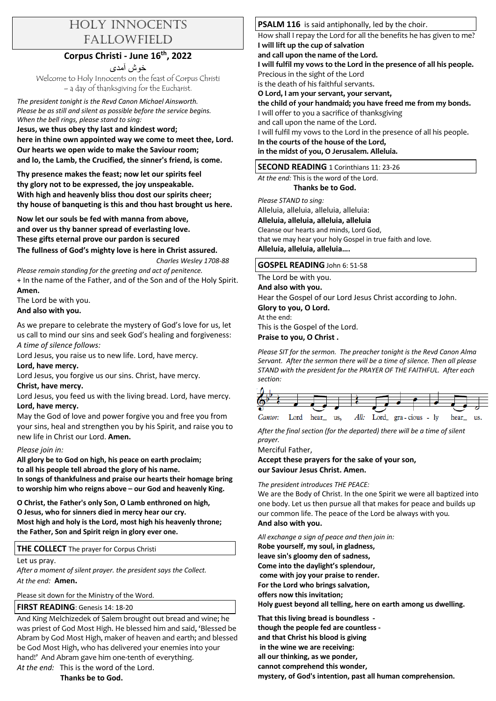# HOLY INNOCENTS FALLOWFIELD

## **Corpus Christi - June 16th, 2022**

خوش آمدی Welcome to Holy Innocents on the feast of Corpus Christi – a day of thanksgiving for the Eucharist.

*The president tonight is the Revd Canon Michael Ainsworth. Please be as still and silent as possible before the service begins. When the bell rings, please stand to sing:* 

**Jesus, we thus obey thy last and kindest word; here in thine own appointed way we come to meet thee, Lord. Our hearts we open wide to make the Saviour room; and lo, the Lamb, the Crucified, the sinner's friend, is come.**

**Thy presence makes the feast; now let our spirits feel thy glory not to be expressed, the joy unspeakable. With high and heavenly bliss thou dost our spirits cheer; thy house of banqueting is this and thou hast brought us here.**

**Now let our souls be fed with manna from above, and over us thy banner spread of everlasting love. These gifts eternal prove our pardon is secured The fullness of God's mighty love is here in Christ assured.** 

*Charles Wesley 1708-88*

*Please remain standing for the greeting and act of penitence.*  + In the name of the Father, and of the Son and of the Holy Spirit. **Amen.**

The Lord be with you. **And also with you.**

As we prepare to celebrate the mystery of God's love for us, let us call to mind our sins and seek God's healing and forgiveness: *A time of silence follows:* 

Lord Jesus, you raise us to new life. Lord, have mercy. **Lord, have mercy.**

Lord Jesus, you forgive us our sins. Christ, have mercy.

## **Christ, have mercy.**

Lord Jesus, you feed us with the living bread. Lord, have mercy. **Lord, have mercy.**

May the God of love and power forgive you and free you from your sins, heal and strengthen you by his Spirit, and raise you to new life in Christ our Lord. **Amen.**

## *Please join in:*

**All glory be to God on high, his peace on earth proclaim; to all his people tell abroad the glory of his name. In songs of thankfulness and praise our hearts their homage bring** 

**to worship him who reigns above – our God and heavenly King.** 

**O Christ, the Father's only Son, O Lamb enthroned on high, O Jesus, who for sinners died in mercy hear our cry. Most high and holy is the Lord, most high his heavenly throne; the Father, Son and Spirit reign in glory ever one.**

**THE COLLECT** The prayer for Corpus Christi

Let us pray.

*After a moment of silent prayer. the president says the Collect. At the end:* **Amen.**

Please sit down for the Ministry of the Word.

## **FIRST READING**: Genesis 14: 18-20

And King Melchizedek of Salem brought out bread and wine; he was priest of God Most High. He blessed him and said, 'Blessed be Abram by God Most High, maker of heaven and earth; and blessed be God Most High, who has delivered your enemies into your hand!' And Abram gave him one-tenth of everything.

*At the end:* This is the word of the Lord.

 **Thanks be to God.**

#### **PSALM 116** is said antiphonally, led by the choir.

How shall I repay the Lord for all the benefits he has given to me? **I will lift up the cup of salvation** 

**and call upon the name of the Lord.** 

**I will fulfil my vows to the Lord in the presence of all his people.** Precious in the sight of the Lord is the death of his faithful servants.

**O Lord, I am your servant, your servant,** 

**the child of your handmaid; you have freed me from my bonds.**  I will offer to you a sacrifice of thanksgiving

and call upon the name of the Lord. I will fulfil my vows to the Lord in the presence of all his people. **In the courts of the house of the Lord,** 

**in the midst of you, O Jerusalem. Alleluia.** 

## **SECOND READING** 1 Corinthians 11: 23-26

*At the end:* This is the word of the Lord.

 **Thanks be to God.**

*Please STAND to sing:* 

Alleluia, alleluia, alleluia, alleluia:

# **Alleluia, alleluia, alleluia, alleluia**

Cleanse our hearts and minds, Lord God, that we may hear your holy Gospel in true faith and love. **Alleluia, alleluia, alleluia….**

#### **GOSPEL READING** John 6: 51-58

The Lord be with you.

**And also with you.**

Hear the Gospel of our Lord Jesus Christ according to John. **Glory to you, O Lord.** At the end:

This is the Gospel of the Lord.

#### **Praise to you, O Christ .**

*Please SIT for the sermon. The preacher tonight is the Revd Canon Alma Servant. After the sermon there will be a time of silence. Then all please STAND with the president for the PRAYER OF THE FAITHFUL. After each section:*



*After the final section (for the departed) there will be a time of silent prayer.*

Merciful Father,

**Accept these prayers for the sake of your son, our Saviour Jesus Christ. Amen.** 

*The president introduces THE PEACE:* 

We are the Body of Christ. In the one Spirit we were all baptized into one body. Let us then pursue all that makes for peace and builds up our common life. The peace of the Lord be always with you*.*  **And also with you.**

*All exchange a sign of peace and then join in:*  **Robe yourself, my soul, in gladness, leave sin's gloomy den of sadness, Come into the daylight's splendour, come with joy your praise to render. For the Lord who brings salvation, offers now this invitation;**

**Holy guest beyond all telling, here on earth among us dwelling.**

**That this living bread is boundless though the people fed are countless and that Christ his blood is giving in the wine we are receiving: all our thinking, as we ponder, cannot comprehend this wonder, mystery, of God's intention, past all human comprehension.**